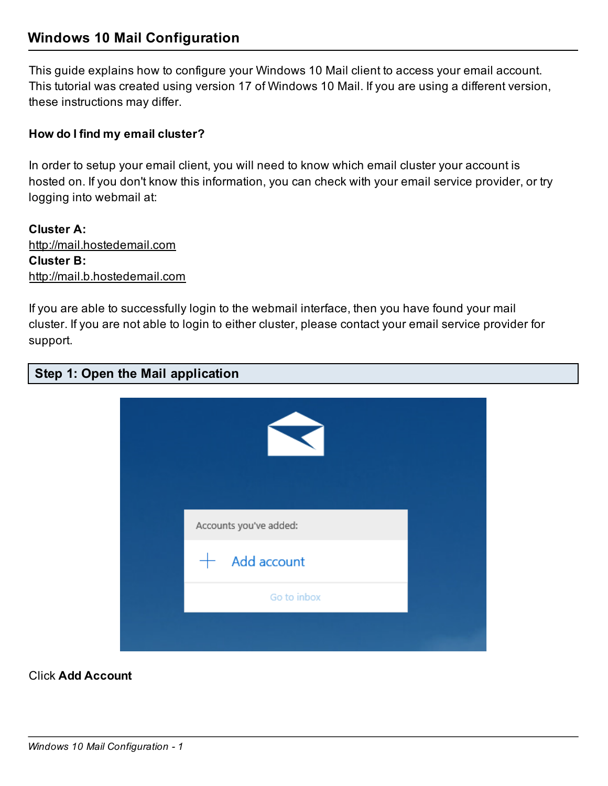## Windows 10 Mail Configuration

This guide explains how to configure your Windows 10 Mail client to access your email account. This tutorial was created using version 17 of Windows 10 Mail. If you are using a different version, these instructions may differ.

## How do I find my email cluster?

In order to setup your email client, you will need to know which email cluster your account is hosted on. If you don't know this information, you can check with your email service provider, or try logging into webmail at:

Cluster A: http://mail.hostedemail.com Cluster B: http://mail.b.hostedemail.com

If you are able to successfully login to the webmail interface, then you have found your mail cluster. If you are not able to login to either cluster, please contact your email service provider for support.

## Step 1: Open the Mail application



Click Add Account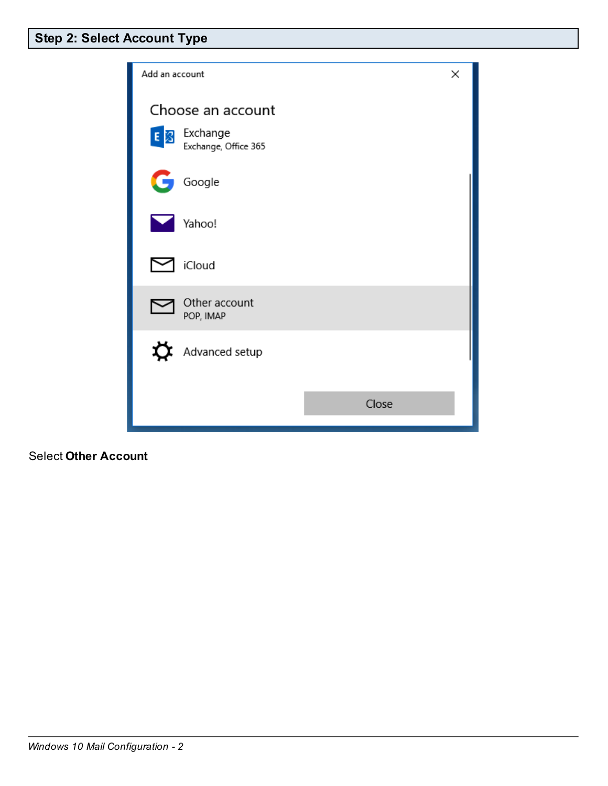| Add an account                       | ×     |
|--------------------------------------|-------|
| Choose an account                    |       |
| E 3 Exchange<br>Exchange, Office 365 |       |
| Œ<br>Google                          |       |
| Yahoo!                               |       |
| iCloud                               |       |
| Other account<br>POP, IMAP           |       |
| Advanced setup                       |       |
|                                      |       |
|                                      | Close |

Select Other Account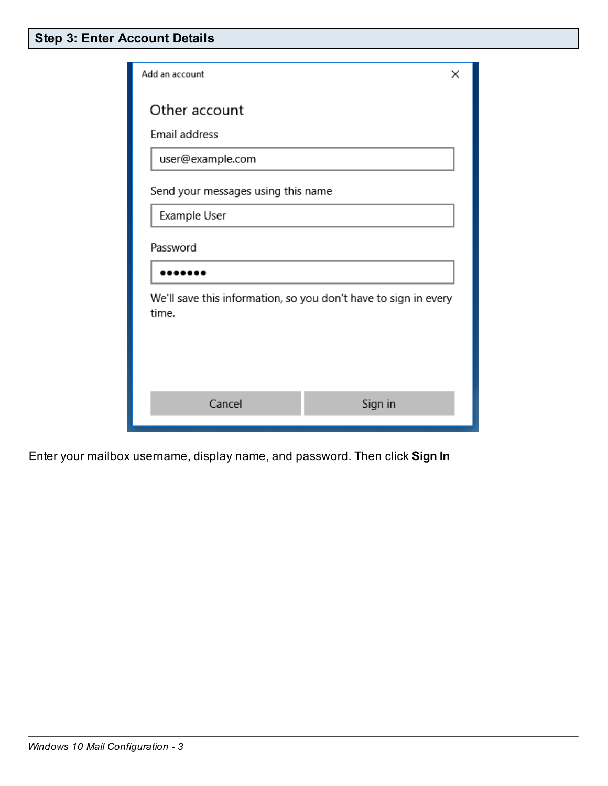| Add an account                                                           | ×       |  |  |  |
|--------------------------------------------------------------------------|---------|--|--|--|
| Other account                                                            |         |  |  |  |
| Email address                                                            |         |  |  |  |
| user@example.com                                                         |         |  |  |  |
| Send your messages using this name                                       |         |  |  |  |
| Example User                                                             |         |  |  |  |
| Password                                                                 |         |  |  |  |
|                                                                          |         |  |  |  |
| We'll save this information, so you don't have to sign in every<br>time. |         |  |  |  |
| Cancel                                                                   | Sign in |  |  |  |

Enter your mailbox username, display name, and password. Then click Sign In